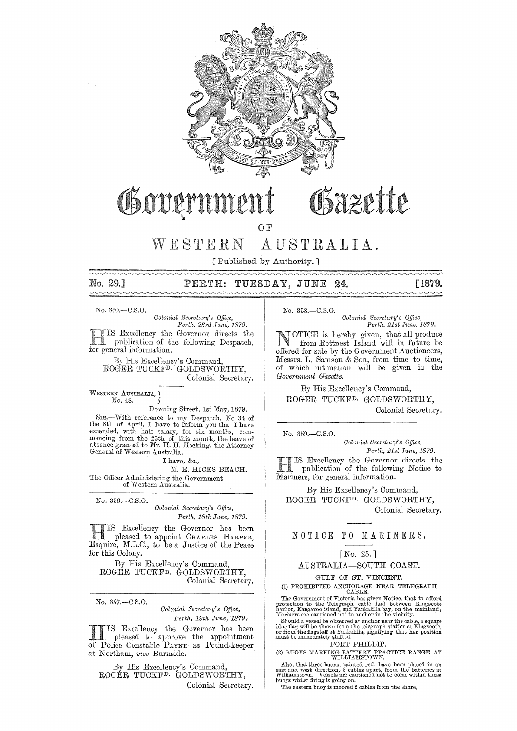

# Osazette Governmen

OF

WESTERN AUSTRALIA.

[ Published by Authority.]

## No. 29.] PERTH: TUESDAY, JUNE 24. [1879.

No. 360.-0.S.0.

*Colonial Secreta1'y's Office, Perth, 231'd .Tune, 1879.*  Excellency the Governor directs the publication of the following Despatch, for general information.

By His Excellency's Command, ROGER TUCKF<sup>D.</sup> GOLDSWORTHY, Colonial Secretary.

WESTERN AUSTRALIA, No. 48.

Downing Street, 1st May, 1879. SIR,-With reference to my Despatch, No 34 of the 8th of April, I have to inform you that I have extended, with half salary, for six months, com- mencing from the 25th of this month, the leave of absence granted to Mr. H. H. Hocking, the Attorney General of Western Australia.

I have, &c.,

M. E. HICKS BEAOH. The Officer Administering the Government of Western Australia.

No. 356.-C.S.O.

*Colonial Secretary's Office,*  $Perth, 18th June, 1879.$ 

H IS Excellency the Governor has been pleased to appoint CHARLES HARPER, Esquire, M.L.C., to be a Justice of the Peace for this Colony.

By His Excellency's Command, ROGER TUCKFD. GOLDSWORTHY, Colonial Secretary.

No. 357.-C.S.O.

### *Colonial Secretcwy's Office, Perth, 19th June, 1879.*

**HIS Excellency the Governor has been**<br>
pleased to approve the appointment of Police Constable PAYNE as Pound-keeper at Northam, vice Burnside.

By His Excellency's Command, ROGER TUCKF<sup>D.</sup> GOLDSWORTHY, Colonial Secretary. No. 358.-C.S.O.

*Colonial Secretm'y's Office, Perth, 21st June, 1879.* 

**NOTICE** is hereby given, that all produce from Rottnest Island will in future be offered for sale by the Government Auctioneers, Messrs. L. Samson & Son, from time to time, of which intimation will be given in the  $Government$  *Gazette.* 

By His Excellency's Command, ROGER TUCKFD. GOLDSWORTHY, Colonial Secretary.

No. 359.-C.S.O.

*Colonial Secretary's Office,* 

*Perth, 21st June, 1879.* H IS Excellency the Governor directs the publication of the following Notice to Mariners, for general information.

By His Excellency's Command, ROGER TUCKFD. GOLDSWORTHY, Colonial Secretary.

## NOTICE TO MARINERS.

## [No. 25.J

AUSTRALIA-SOUTH COAST.

## GULF OF ST. VINCENT. (1) PROHIBITED ANCHORAGE NEAR TELEGRAPH CABLE.

The Government of Victoria has given Notice, that to afford protection to the Telegraph cable laid between Kingscote harbor, Kangaroo island, and Yankalilla bay, on the mainland; Mariners are cautioned not to anchor in the

Should a vessel be observed at anchor near the cable, a square blue flag will be shown from the telegraph station at Kingscote, or from the flagstaff at Yankalilla, signifying that her position must be immediately shifted.

PORT PHILLIP.

(2) BUOYS MARKING BATTERY PRACTICE RANGE AT WILLIAlIlSTOWN.

Also, that three buoys, painted red, have been placed in an east and west direction, 3 cables apart, from the batteries at Williamstown. Vessels are cautioned not to come within these buoys whilst firing is going on.

The eastern buoy is moored 2 cables from the shore.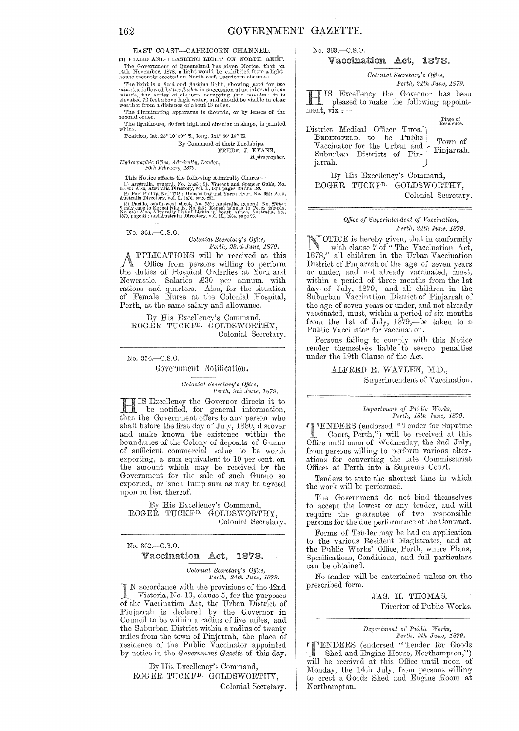EAST COAST-CAPRICORN CHANNEL.

(3) FIXED AND FLASHING LIGHT ON NORTH REEF. The Government of Queensland has given Notice, that an 14th November, 1878, a light would be exhibited from a light-house recently erected on North reef, Capricorn channel:—

house recently erected on North reer, Capproom channel:—<br>The light is a *fized* and *flashing* light, showing *fixed* for two<br>minutes, followed by two *flashing* light, showing *four minutes*; it is<br>elevated 72 feet above

The illuminating apparatus is dioptric, or by lenses of the

The lighthouse, 80 feet high and circular in shape, is painted white

Position, lat. 23° 10' 50" S., long. 151° 56' 10" E.

By Command of their Lordships,<br>FREDR. J. EVANS,

Hudrographer.

Hydrographic Office, Admiralty, London,<br>20th February, 1879.

This Notice affects the following Admiralty Charts:-

(1) Australia, general, No. 27596; St. Vincent and Spencer Gulfs, No. 22596: St. Misch Australia Directory, vol. 1, 1576, pages 186 and 189. Australia Directory, vol. 1, 1576, pages 196 and 189. Australia Directory, vol.

Also also a state of the set of the set of the set of the set of the set of the set of the set of the set of the set of the set of the set of the set of the set of the set of the set of the set of the set of the set of the

No. 361.-C.S.O.

Colonial Secretary's Office, Perth, 23rd June, 1879.

PPLICATIONS will be received at this Office from persons willing to perform the duties of Hospital Orderlies at York and Newcastle. Salaries £30 per annum, with<br>rations and quarters. Also, for the situation<br>of Female Nurse at the Colonial Hospital, Perth, at the same salary and allowance.

By His Excellency's Command, ROGER TUCKF<sup>D.</sup> GOLDSWORTHY, Colonial Secretary.

#### No. 354.-C.S.O.

Government Notification.

Colonial Secretary's Office, Perth, 9th June, 1879.

IS Excellency the Governor directs it to  $\mathbf{H}$ be notified, for general information, that the Government offers to any person who shall before the first day of July, 1880, discover and make known the existence within the boundaries of the Colony of deposits of Guano of sufficient commercial value to be worth exporting, a sum equivalent to 10 per cent. on the amount which may be received by the Government for the sale of such Guano so exported, or such lump sum as may be agreed upon in lieu thereof.

By His Excellency's Command, ROGEŘ TUCKF<sup>D.</sup> GOLDSWORTHY, Colonial Secretary.

No. 362.-C.S.O. Vaccination Act, 1878.

> Colonial Secretary's Office, Perth, 24th June, 1879.

N accordance with the provisions of the 42nd Victoria, No. 13, clause 5, for the purposes of the Vaccination Act, the Urban District of<br>Pinjarrah is declared by the Governor in Council to be within a radius of five miles, and the Suburban District within a radius of twenty miles from the town of Pinjarrah, the place of residence of the Public Vaccinator appointed by notice in the Government Gazette of this day.

By His Excellency's Command, ROGER TUCKF<sup>D.</sup> GOLDSWORTHY, Colonial Secretary. No. 363, - C.S.O.

#### Vaccination Act. 1878.

Colonial Secretary's Office,

Perth, 24th June, 1879. IS Excellency the Governor has been  $\prod$ pleased to make the following appointment,  $viz$ .:-

District Medical Officer THOS. BEDINGFELD, to be Public<br>Vaccinator for the Urban and Suburban Districts of Pinjarrah.

Place of<br>Residence.

Town of Pinjarrah.

By His Excellency's Command, ROGER TUCKF<sup>D.</sup> GOLDSWORTHY, Colonial Secretary.

#### Office of Superintendent of Vaccination, Perth, 24th June, 1879.

VOTICE is hereby given, that in conformity<br>with clause 7 of "The Vaccination Act, 1878," all children in the Urban Vaccination District of Pinjarrah of the age of seven years or under, and not already vaccinated, must, within a period of three months from the 1st day of July, 1879,-and all children in the Suburban Vaccination District of Pinjarrah of the age of seven years or under, and not already vaccinated, must, within a period of six months<br>from the 1st of July, 1879,—be taken to a Public Vaccinator for vaccination.

Persons failing to comply with this Notice render themselves liable to severe penalties under the 19th Clause of the Act.

> ALFRED R. WAYLEN, M.D., Superintendent of Vaccination.

#### Department of Public Works, Perth, 18th June, 1879.

TENDERS (endorsed "Tender for Suprême" Court, Perth,") will be received at this<br>Office until noon of Wednesday, the 2nd July, from persons willing to perform various alterations for converting the late Commissariat Offices at Perth into a Supreme Court.

Tenders to state the shortest time in which the work will be performed.

The Government do not bind themselves to accept the lowest or any tender, and will require the guarantee of two responsible persons for the due performance of the Contract.

Forms of Tender may be had on application to the various Resident Magistrates, and at the Public Works' Office, Perth, where Plans, Specifications, Conditions, and full particulars can be obtained.

No tender will be entertained unless on the prescribed form.

> JAS. H. THOMAS, Director of Public Works.

#### Department of Public Works, Perth, 9th June, 1879.

**ITTENDERS** (endorsed "Tender for Goods Shed and Engine House, Northampton,") will be received at this Office until noon of Monday, the 14th July, from persons willing to erect a Goods Shed and Engine Room at Northampton.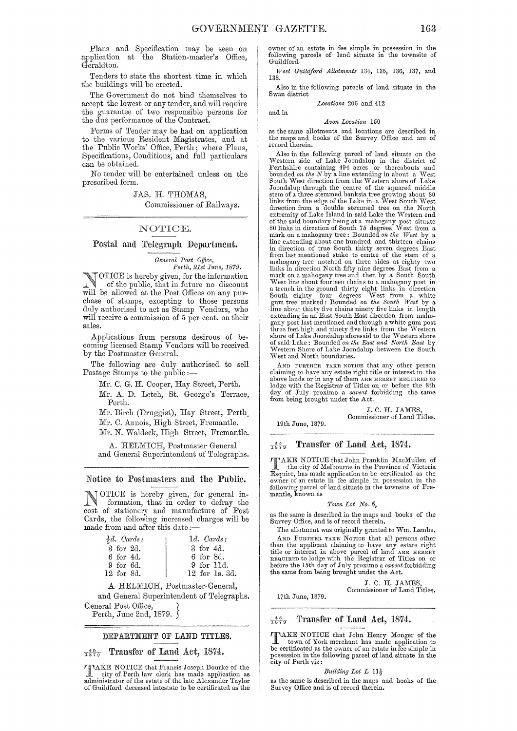Plans and Specification may be seen on application at the Station-master's Office, Geraldton.

Tenders to state the shortest time in which the buildings will be erected.

The Governmeut do not bind themselves to accept the lowest or any tender, and will require the guarantee of two responsible persons for the due performance of the Contract.

Forms of Tender may be had on application to the various Resident Magistrates, and at the Public Works' Office, Perth; where Plans, Specifications, Conditions, and full particulars can be obtained.

No tender will be entertained unless on the prescribed form.

JAS. H. THOMAS,

Commissioner of Railways.

### NOTIOE.

## Postal and Telegraph Department.

General Post Office,

Perth, 21st June, 1879. NOTICE is hereby given, for the information<br>of the public, that in future no discount<br>will be elleved at the Pert Offices on any num will be allowed at the Post Offices on any purchase of stamps, excepting to those persons duly authorised to act as Stamp Vendors, who will receive a commission of 5 per cent. on their sales.

Applications from persons desirous of becoming licensed Stamp Vendors will be received by the Postmaster General.

The following are duly authorised to sell Postage Stamps to the public ;-

Mr. C. G. H. Cooper, Hay Street, Perth.

Mr. A. D. Letch, St. George's Terrace, Perth.

Mr. Birch (Druggist), Hay Street, Perth.

Mr. C. Annois, High Street, Fremantle.

Mr. N. Waldeck, High Street, Fremantle.

A. HELMICH, Postmaster General and General Superintendent of Telegraphs.

### Notice to Postmasters and the Public.

NOTICE is hereby given, for general information that is  $\overline{a}$ formation, that in order to defray the cost of stationery and manufacture of Post Cards, the following increased charges will be made from and after this date;-

| $\frac{1}{2}d$ . Cards: | $1d.$ Cards:   |
|-------------------------|----------------|
| 3 for 2d.               | 3 for 4d.      |
| 6 for 4d.               | 6 for 8d.      |
| 9 for 6d.               | 9 for 11d.     |
| 12 for 8d.              | 12 for 1s. 3d. |

A HELMICH, Postmaster-General,

and General Superintendent of Telegraphs. General Post Office,

Perth, June 2nd, 1879.  $\int$ 

#### DEPARTMENT OF LAND TITLES.

 $\frac{40}{1879}$  Transfer of Land Act, 1874.

TAKE NOTICE that Francis Joseph Bourke of the city of Perth law clerk has made application as administrator of the estate of the late Alexander Taylor of Guildiord deceased intestate to be certificated as the

wner of an estate in fee simple in possession in the following parcels of land situate in the townsite of Guildford

*West G1tildf01'd Allotments* 134, 135, 136, 137, and 138.

Also in the following parcels of lana situate in the Swan district

*Locations* 206 and 412

and in

#### *Avon Location 150*

as the same allotments and locations are described in the maps and books of the Survey Office and are of record therein.

Also in the following parcel of land situate on the Western side of Lake Joondalup in the district of Perthshire containing  $494$  acres or thereabouts and<br>bounded on the N by a line extending in about a West<br>South West direction from the Western shore of Lake<br>Joondalup through the centre of the squared middle<br>stem of a th extremity of Lake Island in said Lake the Western end of the said boundary being at a mahogany post sitnate 80 links in direction of South 75 degrees IV est from a mark on a mahogany tree; Bounded *on the TVest* by a line extending abont one hundred and thirteen chains in direction of true South thirty seven degrees East from last mentioned stake to centre of the stem of a mahogany tree notched on three sides at eighty two links in direction North fifty nine degrees East from a mark on a mahogany tree and then by a South South West line about fourteen chains to a mahogany post in West line about fourteen chains to a mahogany post in<br>a trench in the ground thirty eight links in direction<br>South eighty four degrees West from a white<br>gum tree marked: Bounded on the South West by a<br>line about thirty fi Western Shore of Lake Joondalup between the South West and North boundaries.

AND FURTHER TARE NOTICE that any other person claiming to have any estate right title or interest in the<br>above lands or in any of them ARE HEREBY REQUIRED to<br>lodge with the Registrar of Titles on or before the 8th day of July proximo a *caveat* forbidding the same from being brought under the Act.

> J. C. H. JAMES Commissioner of Land Titles.

19th June, 1879.

17th Jnne, 1879.

 $\frac{45}{1879}$  Transfer of Land Act, 1874.

 $\prod_{i=1}^{\infty}$  the city of Melbourne in the Province of Victoria<br>  $\Gamma$  and the Province of Victoria<br>  $\Gamma$  and the province of Victoria of the Province of Victoria Esquire, has made application to be certificated as the owner of an estate in fee simple in possession in the following parcel of land situate in the townsite of Fremantle, known as

#### *Town Lot No.* 5,

as the same is described in the maps and books of the Suryey Office, and is of record therein.

The allotment was originally granted to Wm. Lambe. AND FURTHER TAKE NOTICE that all persons other than the applicant claiming to have any estate right title or interest in above parcel of land ARE HEREBY REQUIRED to lodge with the Registrar of Titles on or before the 15th day of July proximo a *caveat* forbidding the same from being brought under the Act.

> J. C. H. JAMES, Commissioner of Land Titles.

 $\frac{46}{1879}$  Transfer of Land Act, 1874.

TAKE NOTICE that John Henry Monger of the town of York merchant has made application to be certificated as the owner of an estate in fee simple in possession in the following parcel of land situate in the city of Perth viz:

#### *Building Lot L*  $11\frac{1}{9}$

as the same is described in the maps and books of the Survey Office and is of record therein.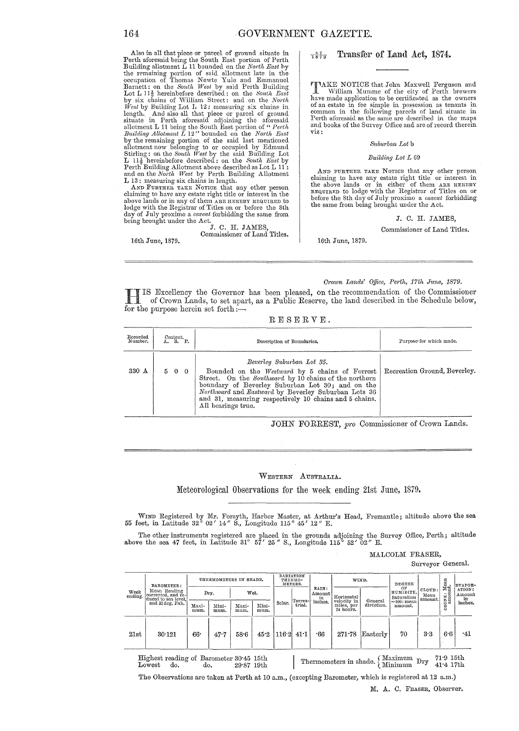Also in all that piece or pm'cel of ground situate in Perth aforesaid being the South East portion of Perth Building allotment L 11 bounded on the *North East* hy the remaining portion of said allotment late in the Borecupation of Thomas Newte Yule and Emmanuel Barnett: on the *South West* by said Perth Building Lot L 11<sup>1</sup>, hereinbefore described: on the *South East* by six chains of William Street: and on the *North West* by Building Lot I, 12: measuring six chains in length. And also all that piece or parcel of ground situate in Perth aforesaid adjoining the aforesaid allotment L 11 being the South East portion of " *Perth* Building Allotment L 12" bounded on the *North East* by the remaining portion of the said last mentioned allotment now belonging to or occupied by Edmund Stirling: L 13: measuring six chains in length.

AND FURTHER TAKE NOTICE that any other person claiming to have any estate right title or interest in the above lands or in any of them ARE HEREBY REQUIRED to lodge with the Registrar of Titles on or before the 8th day of July proximo a *caveat* forbidding the same from

16th June, 1879.

being brought under the Act.<br>
J. C. H. JAMES, Commissioner of Land Titles.

### $\frac{47}{1879}$  Transfer of Land Act, 1874.

TAKE NOTICE that John Maxwell Ferguson and<br>
have media annihistic the city of Perth brewers<br>
have media annihistic the condition of the curvers have made application to be certificated as the owners of an estate in fee simple in possession as tenants in common in the following parcels of land situate in Perth aforesaid as the same are described in the maps and books of the Survey Office and are of record therein viz:

#### *Suburban Lot* b

#### *Building Lot L 69*

AND FURTHER TAKE NOTICE that any other person claiming to have any estate right title or interest in the above lands or in either of' them ARE HEREBY REQUIRED to lodge with the Hegistrar of Titles on or before the 8th day of July proximo a *caveat* forbidding the same from being brought under the Act.

J. C. H. JAMES,

Commissioner of Land Titles.

16th June, 1879.

#### *Or'own Lands' Oplce, Perth, 17th J1me, 1879.*

H IS Excellency the Governor has been pleased, on the recommendation of the Commissioner of Crown Lands, to set ltpart, as a Public Reserve, the land described in the Schedule below, for the purpose herein set forth: $\overline{\phantom{a}}$ 

|  |  | $\texttt{R} \to \texttt{S} \to \texttt{R} \ \texttt{V} \to$ . |  |  |
|--|--|---------------------------------------------------------------|--|--|
|  |  |                                                               |  |  |

| Recorded<br>Number. | Content.<br>A. R. P. | Description of Boundaries.                                                                                                                                                                                                                                                                                                      | Purpose for which made.      |
|---------------------|----------------------|---------------------------------------------------------------------------------------------------------------------------------------------------------------------------------------------------------------------------------------------------------------------------------------------------------------------------------|------------------------------|
| $330 \text{ A}$     | 500                  | Beverley Suburban Lot 35.<br>Bounded on the Westward by 5 chains of Forrest<br>Street. On the Southward by 10 chains of the northern<br>boundary of Beverley Suburban Lot 30; and on the<br>Northward and Eastward by Beverley Suburban Lots 36<br>and 31, measuring respectively 10 chains and 5 chains.<br>All bearings true. | Recreation Ground, Beverley. |

JOHN FORREST, pro Commissioner of Crown Lands.

## WESTERN AUSTRALIA.

Meteorological Observations for the week ending 21st June, 1879.

WIND Registered by Mr. Forsyth, Harbor Master, at Arthur's Head, Fremantle; altitude above the sea feet, in Latitude 32° 02' 14" S., Longitude 115° 45' 12" E.

The other instruments registered are placed in the grounds adjoining the Survey Office, Perth; altitude above the sea 47 feet, in Latitude 31°  $5\bar{7}'$  25" S., Longitude 115°  $52'$  02" E.

#### MALCOLM FRASER,

Surveyor General.

| Week<br>ending. | <b>BAROMETER:</b><br>Mean Reading<br>corrected, and re-<br>duced to sea level.<br>and 32 deg. Fah. | THERMOMETERS IN SHADE. |               |               | RADIATION<br>THERMO-<br>METERS. |        |                   | WIND.   |                                        | DEGREE                |                               |                           | EVAPOR-    |                        |
|-----------------|----------------------------------------------------------------------------------------------------|------------------------|---------------|---------------|---------------------------------|--------|-------------------|---------|----------------------------------------|-----------------------|-------------------------------|---------------------------|------------|------------------------|
|                 |                                                                                                    |                        | Dry.          |               | Wet.                            |        | Amount            |         | Horizontal                             |                       | OP<br>HUMIDITY,<br>Saturation | CLOUD:<br>Mean<br>amount. | CONE: Mean | ATION:<br>Amount<br>in |
|                 |                                                                                                    | Maxi-<br>mum.          | Mini-<br>mum. | Maxi-<br>mum. | Mini-<br>mum.                   | Solar. | Terres-<br>trial. | inches. | velocity in<br>miles, per<br>24 hours. | General<br>direction. | == 100 : mean<br>amount.      |                           | 8          | inches.                |
| 21st            | 30.121                                                                                             | 66.                    | 47.7          | 58.6          | 45.2                            | 116.2  | 41:1              | •66     | 271.78                                 | Easterly              | 70                            | 3·3                       | 6.6        | -41                    |

Highest reading of Barometer 30'45 15th Howest do. do. 29.87 19th I . Thermometers in shade. I.Maximum Dry 71.9 15th Lowest do. do. 29.87 19th I . Thermometers in shade. Inimum Dry 41.4 17th

The Observations are taken at Perth at 10 a.m., (excepting Barometer, which is registered at 12 a.m.) M. A. C. FRASER, Observer.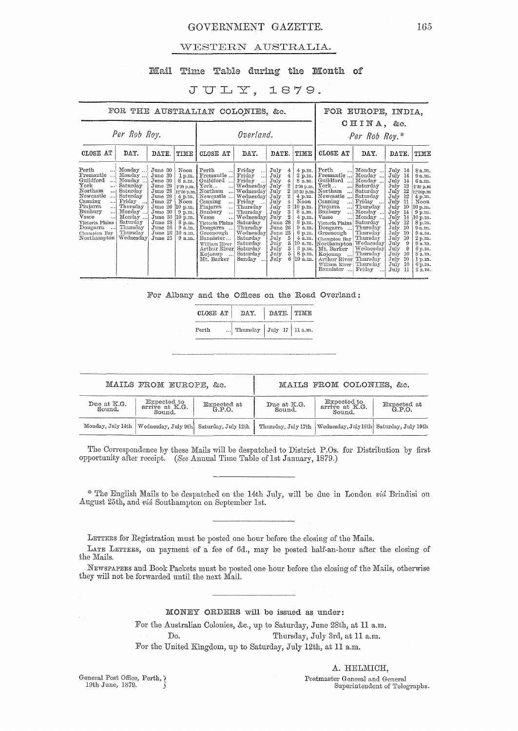## GOVERNMENT GAZETTE. 165

## WESTERN AUSTRALIA.

### Mail Time Table during the Month of

## $JULY$ , 1879.

| FOR THE AUSTRALIAN COLONIES, &c.                                                                                                                                                                                                                                                                                                                                                                     |                                                                                                                                                                                                                                                                                                                       |                                                                                                                                                                                                                                                                                                  |                                                                                                                                                                                                                                | FOR EUROPE, INDIA,                                                                                                                                                                                                                                                                                  |                                                                                                                                                                                              |                                                                                                                                                                                                                                                                                                                                                                                          |                                                                                                                                                                                                                          |                                                                                                                                                                                                                                                                                                         |                                                                                                                                                                                                       |  |
|------------------------------------------------------------------------------------------------------------------------------------------------------------------------------------------------------------------------------------------------------------------------------------------------------------------------------------------------------------------------------------------------------|-----------------------------------------------------------------------------------------------------------------------------------------------------------------------------------------------------------------------------------------------------------------------------------------------------------------------|--------------------------------------------------------------------------------------------------------------------------------------------------------------------------------------------------------------------------------------------------------------------------------------------------|--------------------------------------------------------------------------------------------------------------------------------------------------------------------------------------------------------------------------------|-----------------------------------------------------------------------------------------------------------------------------------------------------------------------------------------------------------------------------------------------------------------------------------------------------|----------------------------------------------------------------------------------------------------------------------------------------------------------------------------------------------|------------------------------------------------------------------------------------------------------------------------------------------------------------------------------------------------------------------------------------------------------------------------------------------------------------------------------------------------------------------------------------------|--------------------------------------------------------------------------------------------------------------------------------------------------------------------------------------------------------------------------|---------------------------------------------------------------------------------------------------------------------------------------------------------------------------------------------------------------------------------------------------------------------------------------------------------|-------------------------------------------------------------------------------------------------------------------------------------------------------------------------------------------------------|--|
| Per Rob Roy.                                                                                                                                                                                                                                                                                                                                                                                         |                                                                                                                                                                                                                                                                                                                       |                                                                                                                                                                                                                                                                                                  | Overland.                                                                                                                                                                                                                      |                                                                                                                                                                                                                                                                                                     | CHINA, &c.<br>$-Per-Rob Roy.*$                                                                                                                                                               |                                                                                                                                                                                                                                                                                                                                                                                          |                                                                                                                                                                                                                          |                                                                                                                                                                                                                                                                                                         |                                                                                                                                                                                                       |  |
| DAY.<br>CLOSE AT                                                                                                                                                                                                                                                                                                                                                                                     | DATE.<br>TIME                                                                                                                                                                                                                                                                                                         | CLOSE AT                                                                                                                                                                                                                                                                                         | DAY.                                                                                                                                                                                                                           | DATE.                                                                                                                                                                                                                                                                                               | TIME                                                                                                                                                                                         | CLOSE AT                                                                                                                                                                                                                                                                                                                                                                                 | DAY.                                                                                                                                                                                                                     | DATE.                                                                                                                                                                                                                                                                                                   | TIME                                                                                                                                                                                                  |  |
| Perth<br>Monday<br>Fremantle<br>Monday<br>. 1<br>Guildford<br>Monday<br>!<br>York<br>Saturday<br>Northam<br>Saturday<br>$$ }<br>Newcastle<br>Saturday<br>$\ddots$<br>Friday<br>Canning<br> <br>Pinjarra<br>Thursday<br> <br>Bunbury<br>Monday<br><br>Vasse<br>Monday<br><br>Saturday<br>Victoria Plains<br>Thursday<br>Dongarra<br>$\ddotsc$<br>Thursday<br>Champion Bay<br>Northampton<br>Wednesday | June 30<br>Noon<br>June 30<br>1 p.m.<br>June 30<br>8a.m.<br>June 28<br>2.30 p.m.<br>June 28<br>$12.30~\mathrm{p.m.}$<br>June 28<br>4 p.m.<br>June 27<br>Noon<br>June 26<br>10 p.m.<br>June 30<br>$9$ p.m.<br>June 30<br>[10 p.m. ]<br>June 28<br>8 p.m.<br>June 26<br>9a.m.<br>June 26<br>10 a.m.<br>June 25<br>9a.m. | Perth<br>$\ddots$<br>Fremantle<br>Guildford<br>$\operatorname{York}$<br>!<br>Northam<br>!<br>Newcastle<br>!<br>Canning<br>… <br>Pinjarra<br>$\ldots$<br>Bunbury<br> <br>Vasse<br>Victoria Plains<br>Dongarra<br>Greenough<br>Bannister<br>William River<br>Arthur River<br>Kojonup<br>Mt. Barker | Friday<br>ان .<br>Friday<br>!<br>Friday<br>Wednesday<br>Wednesday<br>Wednesday<br>Friday<br>Thursday<br>Thursday<br>  Wednesday<br>Saturday<br>Thursday<br>Wednesday<br>Saturday<br>Saturdav<br>Saturday<br>Saturday<br>Sunday | July<br>4<br>July<br>4<br>$\frac{4}{2}$<br>July<br>July<br>$\overline{2}$<br>July<br>$\boldsymbol{2}$<br>July<br>July<br>$\mathbf{q}_t$<br>3<br>July<br>3<br>July<br>$\overline{2}$<br>July<br>28<br>June<br>June 26<br>25<br>June<br>July<br>5<br>5<br>July<br>5<br>July<br>5<br>July<br>6<br>July | $4$ p.m.<br>$2 \bar{p}$ .m.<br>8 a.m.<br>2.30 p.m.<br>12:30 p.m.<br>Noon<br>10 p.m.<br>8 a.m.<br>$4$ p.m.<br>$8 \overline{p}$ .m.<br>$9$ a.m.<br>$6$ p.m.<br>$4$ a.m.<br>8 p.m.<br>$10$ a.m. | Perth<br>النت<br>Fremantle<br>Guildford<br>$\operatorname{York}$<br>أدمه<br>Northam<br><br>4 p.m.   Newcastle<br>Canning<br>$\cdots$<br>Pinjarra<br>$\ddotsc$<br>Bunbury<br>$\ddotsc$<br>Vasse<br>$\ddotsc$<br>Victoria Plains<br>Dongarra<br>Greenough<br>Champion Bay<br>10 a.m. Northampton Wednesday<br>3 p.m.   Mt. Barker<br>Kojonup<br>Arthur River<br>William River<br>Bannister | Monday<br>Monday<br>Monday<br>Saturday<br>Saturday<br>Saturday<br>Friday<br>.<br>Thursday<br>Monday<br>Monday<br>Saturday<br>Thursday<br>Thursday<br>Thursday<br>Wednesday<br>Thursday<br>Thursdav<br>Thursdav<br>Friday | $\text{July } 14$<br>July<br>- 14<br>July<br>-14<br>12<br>July<br>12<br>July<br>July<br>12<br>July<br>11<br>10<br>July<br>July<br>14<br>14<br>July<br>July<br>12<br>July<br>-10<br>July<br>-10<br>10<br>July<br>July<br>$\Omega$<br>July<br>9<br>10<br>July<br>-10<br>July<br>July<br>10<br>July<br>-11 | 8 a.m.<br>9a.m.<br>6 a.m.<br>2.30 p.m<br>12.30p.m<br>4 p.m.<br>Noon<br>10 p.m.<br>9 p.m.<br>10 p.m.<br>8 p.m.<br>9a.m.<br>9a.m.<br>2 p.m.<br>9a.m.<br>6 p.m.<br>8 a.m.<br>1 p.m.<br>$6$ p.m.<br>2a.m. |  |

For Albany and the Offices on the Road Overland:

| CLOSE AT | DAY.                            | DATE. TIME |  |
|----------|---------------------------------|------------|--|
| Perth    | Thursday $July 17 \mid 11 a.m.$ |            |  |

|                       | MAILS FROM EUROPE, &c.                                        |                    |                       | MAILS FROM COLONIES, &c.                                         |                    |
|-----------------------|---------------------------------------------------------------|--------------------|-----------------------|------------------------------------------------------------------|--------------------|
| Due at K.G.<br>Sound. | Expected to<br>arrive at K.G.<br>Sound.                       | Expected at G.P.O. | Due at K.G.<br>Sound. | Expected to<br>arrive at K.G.<br>Sound.                          | Expected at G.P.O. |
|                       | Monday, July 14th   Wednesday, July 9th   Saturday, July 12th |                    |                       | Thursday, July 17th   Wednesday, July 16th   Saturday, July 19th |                    |

The Correspondence by these Mails will be despatched to District P.Os. for Distribution by first opportunity after receipt. *(See Annual Time Table of 1st January, 1879.)* 

\* The English Mails to be despatched on the 14th July, will be due in London *via* Brindisi on August 25th, and *via* Southampton on September 1st.

LETTERS for Registration must be posted one hour before the closing of the Mails.

LATE LETTERS, on payment of a fee of 6d., may be posted half-an-hour after the closing of the Mails.

NEWSPAPERS and Book Packets must be posted one hour before the closing of the Mails, otherwise they will not be forwarded until the next Mail.  $\,$ 

## MONEY ORDERS will be issued as under:

For the Australian Colonies, &c., up to Saturday, June 28th, at 11 a.m. Do. Thursday, July 3rd, at 11 a.m. For the United Kingdom, up to Saturday, July 12th, at 11 a.m.

General Post Office, Perth,  $\}$  19th June, 1879.

A. HELMICH,

Postmaster General and General Superintendent of Telegraphs.